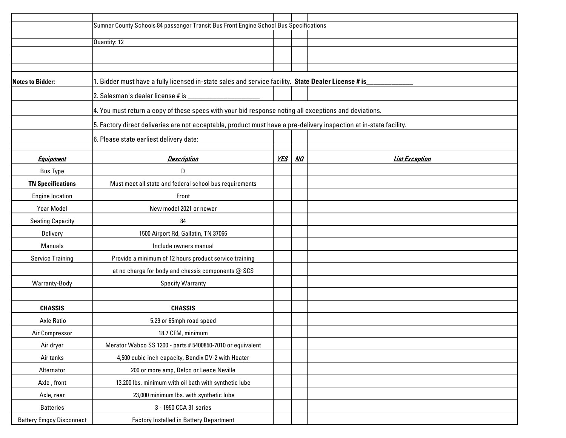|                                 | Sumner County Schools 84 passenger Transit Bus Front Engine School Bus Specifications                              |            |           |                       |
|---------------------------------|--------------------------------------------------------------------------------------------------------------------|------------|-----------|-----------------------|
|                                 |                                                                                                                    |            |           |                       |
|                                 | Quantity: 12                                                                                                       |            |           |                       |
|                                 |                                                                                                                    |            |           |                       |
|                                 |                                                                                                                    |            |           |                       |
| <b>Notes to Bidder:</b>         | 1. Bidder must have a fully licensed in-state sales and service facility. State Dealer License # is_               |            |           |                       |
|                                 | 2. Salesman's dealer license # is                                                                                  |            |           |                       |
|                                 | 4. You must return a copy of these specs with your bid response noting all exceptions and deviations.              |            |           |                       |
|                                 | 5. Factory direct deliveries are not acceptable, product must have a pre-delivery inspection at in-state facility. |            |           |                       |
|                                 | 6. Please state earliest delivery date:                                                                            |            |           |                       |
|                                 |                                                                                                                    |            |           |                       |
| <b>Equipment</b>                | <b>Description</b>                                                                                                 | <u>YES</u> | <u>NO</u> | <b>List Exception</b> |
| <b>Bus Type</b>                 | D                                                                                                                  |            |           |                       |
| <b>TN Specifications</b>        | Must meet all state and federal school bus requirements                                                            |            |           |                       |
| <b>Engine location</b>          | Front                                                                                                              |            |           |                       |
| Year Model                      | New model 2021 or newer                                                                                            |            |           |                       |
| <b>Seating Capacity</b>         | 84                                                                                                                 |            |           |                       |
| Delivery                        | 1500 Airport Rd, Gallatin, TN 37066                                                                                |            |           |                       |
| Manuals                         | Include owners manual                                                                                              |            |           |                       |
| <b>Service Training</b>         | Provide a minimum of 12 hours product service training                                                             |            |           |                       |
|                                 | at no charge for body and chassis components @ SCS                                                                 |            |           |                       |
| Warranty-Body                   | <b>Specify Warranty</b>                                                                                            |            |           |                       |
|                                 |                                                                                                                    |            |           |                       |
| <b>CHASSIS</b>                  | <b>CHASSIS</b>                                                                                                     |            |           |                       |
| <b>Axle Ratio</b>               | 5.29 or 65mph road speed                                                                                           |            |           |                       |
| Air Compressor                  | 18.7 CFM, minimum                                                                                                  |            |           |                       |
| Air dryer                       | Merator Wabco SS 1200 - parts # 5400850-7010 or equivalent                                                         |            |           |                       |
| Air tanks                       | 4,500 cubic inch capacity, Bendix DV-2 with Heater                                                                 |            |           |                       |
| Alternator                      | 200 or more amp, Delco or Leece Neville                                                                            |            |           |                       |
| Axle, front                     | 13,200 lbs. minimum with oil bath with synthetic lube                                                              |            |           |                       |
| Axle, rear                      | 23,000 minimum lbs. with synthetic lube                                                                            |            |           |                       |
| <b>Batteries</b>                | 3 - 1950 CCA 31 series                                                                                             |            |           |                       |
| <b>Battery Emgcy Disconnect</b> | <b>Factory Installed in Battery Department</b>                                                                     |            |           |                       |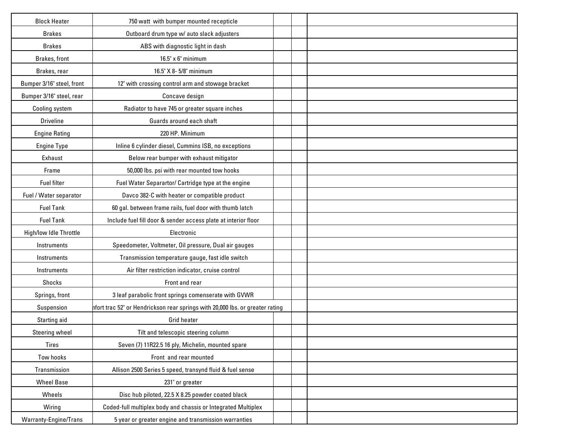| <b>Block Heater</b>       | 750 watt with bumper mounted recepticle                                       |  |  |
|---------------------------|-------------------------------------------------------------------------------|--|--|
| <b>Brakes</b>             | Outboard drum type w/ auto slack adjusters                                    |  |  |
| <b>Brakes</b>             | ABS with diagnostic light in dash                                             |  |  |
| Brakes, front             | $16.5" \times 6"$ minimum                                                     |  |  |
| Brakes, rear              | 16.5" X 8-5/8" minimum                                                        |  |  |
| Bumper 3/16" steel, front | 12" with crossing control arm and stowage bracket                             |  |  |
| Bumper 3/16" steel, rear  | Concave design                                                                |  |  |
| Cooling system            | Radiator to have 745 or greater square inches                                 |  |  |
| <b>Driveline</b>          | Guards around each shaft                                                      |  |  |
| <b>Engine Rating</b>      | 220 HP. Minimum                                                               |  |  |
| <b>Engine Type</b>        | Inline 6 cylinder diesel, Cummins ISB, no exceptions                          |  |  |
| Exhaust                   | Below rear bumper with exhaust mitigator                                      |  |  |
| Frame                     | 50,000 lbs. psi with rear mounted tow hooks                                   |  |  |
| <b>Fuel filter</b>        | Fuel Water Separartor/ Cartridge type at the engine                           |  |  |
| Fuel / Water separator    | Davco 382-C with heater or compatible product                                 |  |  |
| <b>Fuel Tank</b>          | 60 gal. between frame rails, fuel door with thumb latch                       |  |  |
| <b>Fuel Tank</b>          | Include fuel fill door & sender access plate at interior floor                |  |  |
| High/low Idle Throttle    | Electronic                                                                    |  |  |
| Instruments               | Speedometer, Voltmeter, Oil pressure, Dual air gauges                         |  |  |
| Instruments               | Transmission temperature gauge, fast idle switch                              |  |  |
| Instruments               | Air filter restriction indicator, cruise control                              |  |  |
| Shocks                    | Front and rear                                                                |  |  |
| Springs, front            | 3 leaf parabolic front springs comenserate with GVWR                          |  |  |
| Suspension                | hfort trac 52" or Hendrickson rear springs with 20,000 lbs. or greater rating |  |  |
| Starting aid              | <b>Grid heater</b>                                                            |  |  |
| Steering wheel            | Tilt and telescopic steering column                                           |  |  |
| Tires                     | Seven (7) 11R22.5 16 ply, Michelin, mounted spare                             |  |  |
| Tow hooks                 | Front and rear mounted                                                        |  |  |
| Transmission              | Allison 2500 Series 5 speed, transynd fluid & fuel sense                      |  |  |
| <b>Wheel Base</b>         | 231" or greater                                                               |  |  |
| Wheels                    | Disc hub piloted, 22.5 X 8.25 powder coated black                             |  |  |
| Wiring                    | Coded-full multiplex body and chassis or Integrated Multiplex                 |  |  |
| Warranty-Engine/Trans     | 5 year or greater engine and transmission warranties                          |  |  |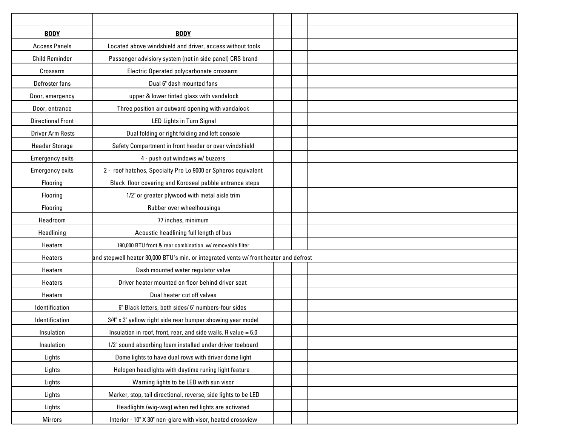| <b>BODY</b>              | <b>BODY</b>                                                                           |  |  |
|--------------------------|---------------------------------------------------------------------------------------|--|--|
| <b>Access Panels</b>     | Located above windshield and driver, access without tools                             |  |  |
| <b>Child Reminder</b>    | Passenger advisiory system (not in side panel) CRS brand                              |  |  |
| Crossarm                 | Electric Operated polycarbonate crossarm                                              |  |  |
| Defroster fans           | Dual 6" dash mounted fans                                                             |  |  |
| Door, emergency          | upper & lower tinted glass with vandalock                                             |  |  |
| Door, entrance           | Three position air outward opening with vandalock                                     |  |  |
| <b>Directional Front</b> | <b>LED Lights in Turn Signal</b>                                                      |  |  |
| <b>Driver Arm Rests</b>  | Dual folding or right folding and left console                                        |  |  |
| <b>Header Storage</b>    | Safety Compartment in front header or over windshield                                 |  |  |
| <b>Emergency exits</b>   | 4 - push out windows w/ buzzers                                                       |  |  |
| <b>Emergency exits</b>   | 2 - roof hatches, Specialty Pro Lo 9000 or Spheros equivalent                         |  |  |
| Flooring                 | Black floor covering and Koroseal pebble entrance steps                               |  |  |
| Flooring                 | 1/2" or greater plywood with metal aisle trim                                         |  |  |
| Flooring                 | Rubber over wheelhousings                                                             |  |  |
| Headroom                 | 77 inches, minimum                                                                    |  |  |
| Headlining               | Acoustic headlining full length of bus                                                |  |  |
| Heaters                  | 190,000 BTU front & rear combination w/ removable filter                              |  |  |
| <b>Heaters</b>           | and stepwell heater 30,000 BTU's min. or integrated vents w/ front heater and defrost |  |  |
| Heaters                  | Dash mounted water regulator valve                                                    |  |  |
| Heaters                  | Driver heater mounted on floor behind driver seat                                     |  |  |
| Heaters                  | Dual heater cut off valves                                                            |  |  |
| Identification           | 6" Black letters, both sides/ 6" numbers-four sides                                   |  |  |
| Identification           | 3/4" x 3" yellow right side rear bumper showing year model                            |  |  |
| Insulation               | Insulation in roof, front, rear, and side walls. R value = $6.0$                      |  |  |
| Insulation               | 1/2" sound absorbing foam installed under driver toeboard                             |  |  |
| Lights                   | Dome lights to have dual rows with driver dome light                                  |  |  |
| Lights                   | Halogen headlights with daytime runing light feature                                  |  |  |
| Lights                   | Warning lights to be LED with sun visor                                               |  |  |
| Lights                   | Marker, stop, tail directional, reverse, side lights to be LED                        |  |  |
| Lights                   | Headlights (wig-wag) when red lights are activated                                    |  |  |
| <b>Mirrors</b>           | Interior - 10" X 30" non-glare with visor, heated crossview                           |  |  |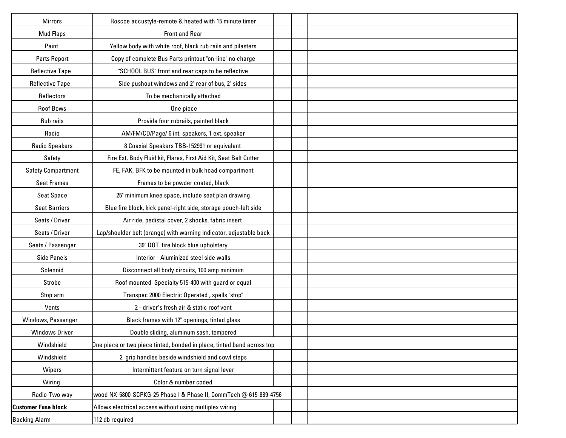| <b>Mirrors</b>             | Roscoe accustyle-remote & heated with 15 minute timer                  |  |
|----------------------------|------------------------------------------------------------------------|--|
| <b>Mud Flaps</b>           | Front and Rear                                                         |  |
| Paint                      | Yellow body with white roof, black rub rails and pilasters             |  |
| Parts Report               | Copy of complete Bus Parts printout "on-line" no charge                |  |
| <b>Reflective Tape</b>     | "SCHOOL BUS" front and rear caps to be reflective                      |  |
| <b>Reflective Tape</b>     | Side pushout windows and 2" rear of bus, 2" sides                      |  |
| Reflectors                 | To be mechanically attached                                            |  |
| <b>Roof Bows</b>           | One piece                                                              |  |
| Rub rails                  | Provide four rubrails, painted black                                   |  |
| Radio                      | AM/FM/CD/Page/ 6 int. speakers, 1 ext. speaker                         |  |
| <b>Radio Speakers</b>      | 8 Coaxial Speakers TBB-152991 or equivalent                            |  |
| Safety                     | Fire Ext, Body Fluid kit, Flares, First Aid Kit, Seat Belt Cutter      |  |
| <b>Safety Compartment</b>  | FE, FAK, BFK to be mounted in bulk head compartment                    |  |
| <b>Seat Frames</b>         | Frames to be powder coated, black                                      |  |
| <b>Seat Space</b>          | 25" minimum knee space, include seat plan drawing                      |  |
| <b>Seat Barriers</b>       | Blue fire block, kick panel-right side, storage pouch-left side        |  |
| Seats / Driver             | Air ride, pedistal cover, 2 shocks, fabric insert                      |  |
| Seats / Driver             | Lap/shoulder belt (orange) with warning indicator, adjustable back     |  |
| Seats / Passenger          | 39" DOT fire block blue upholstery                                     |  |
| <b>Side Panels</b>         | Interior - Aluminized steel side walls                                 |  |
| Solenoid                   | Disconnect all body circuits, 100 amp minimum                          |  |
| Strobe                     | Roof mounted Specialty 515-400 with guard or equal                     |  |
| Stop arm                   | Transpec 2000 Electric Operated, spells "stop"                         |  |
| Vents                      | 2 - driver's fresh air & static roof vent                              |  |
| Windows, Passenger         | Black frames with 12" openings, tinted glass                           |  |
| <b>Windows Driver</b>      | Double sliding, aluminum sash, tempered                                |  |
| Windshield                 | One piece or two piece tinted, bonded in place, tinted band across top |  |
| Windshield                 | 2 grip handles beside windshield and cowl steps                        |  |
| Wipers                     | Intermittent feature on turn signal lever                              |  |
| Wiring                     | Color & number coded                                                   |  |
| Radio-Two way              | wood NX-5800-SCPKG-25 Phase I & Phase II, CommTech @ 615-889-4756      |  |
| <b>Customer Fuse block</b> | Allows electrical access without using multiplex wiring                |  |
| <b>Backing Alarm</b>       | 112 db required                                                        |  |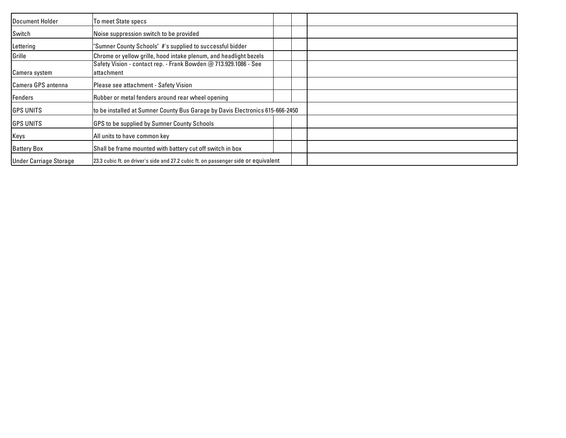| <b>Document Holder</b>        | To meet State specs                                                                |  |
|-------------------------------|------------------------------------------------------------------------------------|--|
| Switch                        | Noise suppression switch to be provided                                            |  |
| Lettering                     | "Sumner County Schools" #'s supplied to successful bidder                          |  |
| Grille                        | Chrome or yellow grille, hood intake plenum, and headlight bezels                  |  |
|                               | Safety Vision - contact rep. - Frank Bowden @ 713.929.1086 - See                   |  |
| Camera system                 | attachment                                                                         |  |
| <b>Camera GPS antenna</b>     | Please see attachment - Safety Vision                                              |  |
| Fenders                       | Rubber or metal fenders around rear wheel opening                                  |  |
| <b>GPS UNITS</b>              | to be installed at Sumner County Bus Garage by Davis Electronics 615-666-2450      |  |
| <b>GPS UNITS</b>              | GPS to be supplied by Sumner County Schools                                        |  |
| Keys                          | All units to have common key                                                       |  |
| <b>Battery Box</b>            | Shall be frame mounted with battery cut off switch in box                          |  |
| <b>Under Carriage Storage</b> | 23.3 cubic ft. on driver's side and 27.2 cubic ft. on passenger side or equivalent |  |